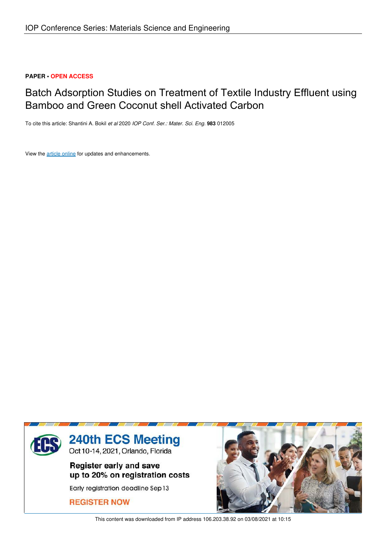# **PAPER • OPEN ACCESS**

# Batch Adsorption Studies on Treatment of Textile Industry Effluent using Bamboo and Green Coconut shell Activated Carbon

To cite this article: Shantini A. Bokil *et al* 2020 *IOP Conf. Ser.: Mater. Sci. Eng.* **983** 012005

View the article online for updates and enhancements.



This content was downloaded from IP address 106.203.38.92 on 03/08/2021 at 10:15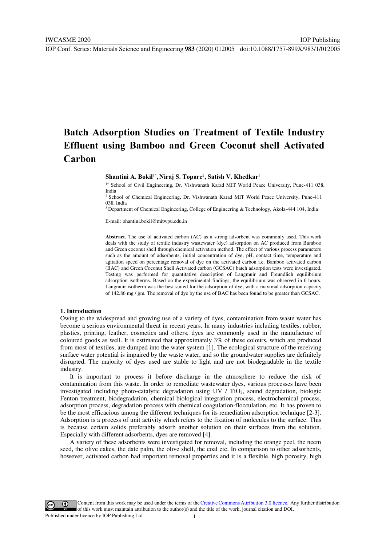# **Batch Adsorption Studies on Treatment of Textile Industry Effluent using Bamboo and Green Coconut shell Activated Carbon**

**Shantini A. Bokil**1\* **, Niraj S. Topare**<sup>2</sup> **, Satish V. Khedkar**<sup>3</sup>

1\* School of Civil Engineering, Dr. Vishwanath Karad MIT World Peace University, Pune-411 038, India

2 School of Chemical Engineering, Dr. Vishwanath Karad MIT World Peace University, Pune-411 038, India

 $3$  Department of Chemical Engineering, College of Engineering & Technology, Akola-444 104, India

E-mail: shantini.bokil@mitwpu.edu.in

**Abstract.** The use of activated carbon (AC) as a strong adsorbent was commonly used. This work deals with the study of textile industry wastewater (dye) adsorption on AC produced from Bamboo and Green coconut shell through chemical activation method. The effect of various process parameters such as the amount of adsorbents, initial concentration of dye, pH, contact time, temperature and agitation speed on percentage removal of dye on the activated carbon i.e. Bamboo activated carbon (BAC) and Green Coconut Shell Activated carbon (GCSAC) batch adsorption tests were investigated. Testing was performed for quantitative description of Langmuir and Freundlich equilibrium adsorption isotherms. Based on the experimental findings, the equilibrium was observed in 6 hours. Langmuir isotherm was the best suited for the adsorption of dye, with a maximal adsorption capacity of 142.86 mg / gm. The removal of dye by the use of BAC has been found to be greater than GCSAC.

#### **1. Introduction**

Owing to the widespread and growing use of a variety of dyes, contamination from waste water has become a serious environmental threat in recent years. In many industries including textiles, rubber, plastics, printing, leather, cosmetics and others, dyes are commonly used in the manufacture of coloured goods as well. It is estimated that approximately 3% of these colours, which are produced from most of textiles, are dumped into the water system [1]. The ecological structure of the receiving surface water potential is impaired by the waste water, and so the groundwater supplies are definitely disrupted. The majority of dyes used are stable to light and are not biodegradable in the textile industry.

 It is important to process it before discharge in the atmosphere to reduce the risk of contamination from this waste. In order to remediate wastewater dyes, various processes have been investigated including photo-catalytic degradation using UV  $/$  TiO<sub>2</sub>, sound degradation, biologic Fenton treatment, biodegradation, chemical biological integration process, electrochemical process, adsorption process, degradation process with chemical coagulation-flocculation, etc. It has proven to be the most efficacious among the different techniques for its remediation adsorption technique [2-3]. Adsorption is a process of unit activity which refers to the fixation of molecules to the surface. This is because certain solids preferably adsorb another solution on their surfaces from the solution. Especially with different adsorbents, dyes are removed [4].

 A variety of these adsorbents were investigated for removal, including the orange peel, the neem seed, the olive cakes, the date palm, the olive shell, the coal etc. In comparison to other adsorbents, however, activated carbon had important removal properties and it is a flexible, high porosity, high

Content from this work may be used under the terms of theCreative Commons Attribution 3.0 licence. Any further distribution of this work must maintain attribution to the author(s) and the title of the work, journal citation and DOI. Published under licence by IOP Publishing Ltd 1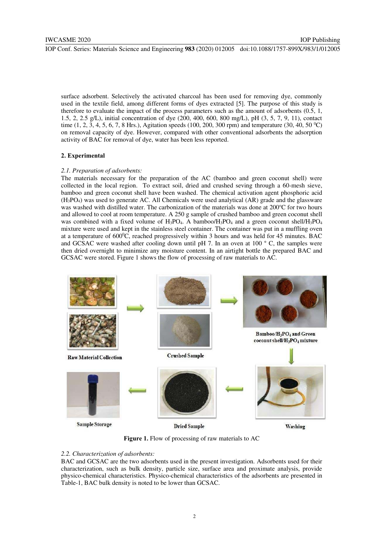surface adsorbent. Selectively the activated charcoal has been used for removing dye, commonly used in the textile field, among different forms of dyes extracted [5]. The purpose of this study is therefore to evaluate the impact of the process parameters such as the amount of adsorbents (0.5, 1, 1.5, 2, 2.5 g/L), initial concentration of dye (200, 400, 600, 800 mg/L), pH (3, 5, 7, 9, 11), contact time (1, 2, 3, 4, 5, 6, 7, 8 Hrs.), Agitation speeds (100, 200, 300 rpm) and temperature (30, 40, 50 °C) on removal capacity of dye. However, compared with other conventional adsorbents the adsorption activity of BAC for removal of dye, water has been less reported.

## **2. Experimental**

# *2.1. Preparation of adsorbents:*

The materials necessary for the preparation of the AC (bamboo and green coconut shell) were collected in the local region. To extract soil, dried and crushed seving through a 60-mesh sieve, bamboo and green coconut shell have been washed. The chemical activation agent phosphoric acid (H3PO4) was used to generate AC. All Chemicals were used analytical (AR) grade and the glassware was washed with distilled water. The carbonization of the materials was done at 200°C for two hours and allowed to cool at room temperature. A 250 g sample of crushed bamboo and green coconut shell was combined with a fixed volume of  $H_3PO_4$ . A bamboo/ $H_3PO_4$  and a green coconut shell/ $H_3PO_4$ mixture were used and kept in the stainless steel container. The container was put in a muffling oven at a temperature of  $600^{\circ}$ C, reached progressively within 3 hours and was held for 45 minutes. BAC and GCSAC were washed after cooling down until pH 7. In an oven at 100 ° C, the samples were then dried overnight to minimize any moisture content. In an airtight bottle the prepared BAC and GCSAC were stored. Figure 1 shows the flow of processing of raw materials to AC.



**Figure 1.** Flow of processing of raw materials to AC

## *2.2. Characterization of adsorbents:*

BAC and GCSAC are the two adsorbents used in the present investigation. Adsorbents used for their characterization, such as bulk density, particle size, surface area and proximate analysis, provide physico-chemical characteristics. Physico-chemical characteristics of the adsorbents are presented in Table-1, BAC bulk density is noted to be lower than GCSAC.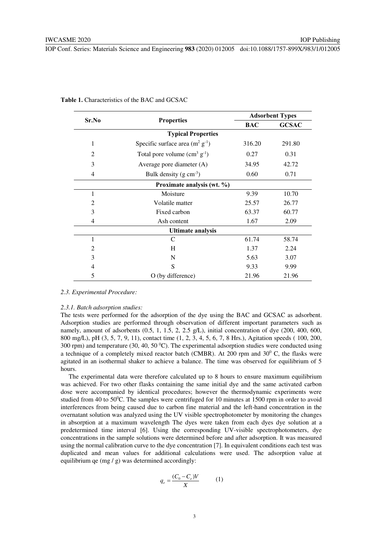| Sr.No                      |                                      |            | <b>Adsorbent Types</b> |  |  |
|----------------------------|--------------------------------------|------------|------------------------|--|--|
|                            | <b>Properties</b>                    | <b>BAC</b> | <b>GCSAC</b>           |  |  |
|                            | <b>Typical Properties</b>            |            |                        |  |  |
| 1                          | Specific surface area $(m^2 g^{-1})$ | 316.20     | 291.80                 |  |  |
| 2                          | Total pore volume $(cm3 g-1)$        | 0.27       | 0.31                   |  |  |
| 3                          | Average pore diameter (A)            | 34.95      | 42.72                  |  |  |
| 4                          | Bulk density $(g \text{ cm}^{-3})$   | 0.60       | 0.71                   |  |  |
| Proximate analysis (wt. %) |                                      |            |                        |  |  |
| 1                          | Moisture                             | 9.39       | 10.70                  |  |  |
| 2                          | Volatile matter                      | 25.57      | 26.77                  |  |  |
| 3                          | Fixed carbon                         | 63.37      | 60.77                  |  |  |
| 4                          | Ash content                          | 1.67       | 2.09                   |  |  |
| <b>Ultimate analysis</b>   |                                      |            |                        |  |  |
| 1                          | C                                    | 61.74      | 58.74                  |  |  |
| 2                          | H                                    | 1.37       | 2.24                   |  |  |
| 3                          | N                                    | 5.63       | 3.07                   |  |  |
| 4                          | S                                    | 9.33       | 9.99                   |  |  |
| 5                          | O (by difference)                    | 21.96      | 21.96                  |  |  |

**Table 1.** Characteristics of the BAC and GCSAC

#### *2.3. Experimental Procedure:*

## *2.3.1. Batch adsorption studies:*

The tests were performed for the adsorption of the dye using the BAC and GCSAC as adsorbent. Adsorption studies are performed through observation of different important parameters such as namely, amount of adsorbents (0.5, 1, 1.5, 2, 2.5 g/L), initial concentration of dye (200, 400, 600, 800 mg/L), pH (3, 5, 7, 9, 11), contact time (1, 2, 3, 4, 5, 6, 7, 8 Hrs.), Agitation speeds ( 100, 200, 300 rpm) and temperature (30, 40, 50  $^{\circ}$ C). The experimental adsorption studies were conducted using a technique of a completely mixed reactor batch (CMBR). At 200 rpm and  $30^{\circ}$  C, the flasks were agitated in an isothermal shaker to achieve a balance. The time was observed for equilibrium of 5 hours.

 The experimental data were therefore calculated up to 8 hours to ensure maximum equilibrium was achieved. For two other flasks containing the same initial dye and the same activated carbon dose were accompanied by identical procedures; however the thermodynamic experiments were studied from 40 to 50 $^{\circ}$ C. The samples were centrifuged for 10 minutes at 1500 rpm in order to avoid interferences from being caused due to carbon fine material and the left-hand concentration in the overnatant solution was analyzed using the UV visible spectrophotometer by monitoring the changes in absorption at a maximum wavelength The dyes were taken from each dyes dye solution at a predetermined time interval [6]. Using the corresponding UV-visible spectrophotometers, dye concentrations in the sample solutions were determined before and after adsorption. It was measured using the normal calibration curve to the dye concentration [7]. In equivalent conditions each test was duplicated and mean values for additional calculations were used. The adsorption value at equilibrium qe (mg / g) was determined accordingly:

$$
q_e = \frac{(C_0 - C_e)V}{X} \tag{1}
$$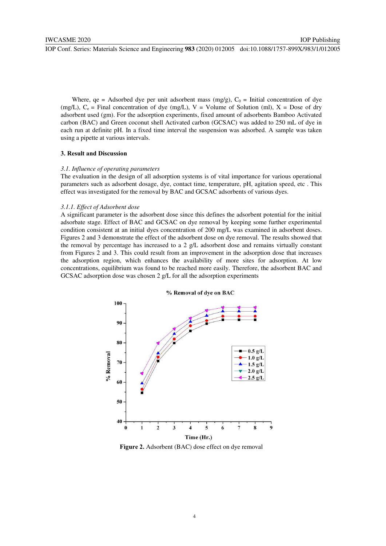Where,  $qe = Adsorbed$  dye per unit adsorbent mass (mg/g),  $C_0 =$  Initial concentration of dye (mg/L),  $C_e$  = Final concentration of dye (mg/L), V = Volume of Solution (ml), X = Dose of dry adsorbent used (gm). For the adsorption experiments, fixed amount of adsorbents Bamboo Activated carbon (BAC) and Green coconut shell Activated carbon (GCSAC) was added to 250 mL of dye in each run at definite pH. In a fixed time interval the suspension was adsorbed. A sample was taken using a pipette at various intervals.

## **3. Result and Discussion**

## *3.1. Influence of operating parameters*

The evaluation in the design of all adsorption systems is of vital importance for various operational parameters such as adsorbent dosage, dye, contact time, temperature, pH, agitation speed, etc . This effect was investigated for the removal by BAC and GCSAC adsorbents of various dyes.

#### *3.1.1. Effect of Adsorbent dose*

A significant parameter is the adsorbent dose since this defines the adsorbent potential for the initial adsorbate stage. Effect of BAC and GCSAC on dye removal by keeping some further experimental condition consistent at an initial dyes concentration of 200 mg/L was examined in adsorbent doses. Figures 2 and 3 demonstrate the effect of the adsorbent dose on dye removal. The results showed that the removal by percentage has increased to a 2 g/L adsorbent dose and remains virtually constant from Figures 2 and 3. This could result from an improvement in the adsorption dose that increases the adsorption region, which enhances the availability of more sites for adsorption. At low concentrations, equilibrium was found to be reached more easily. Therefore, the adsorbent BAC and GCSAC adsorption dose was chosen 2 g/L for all the adsorption experiments



Figure 2. Adsorbent (BAC) dose effect on dye removal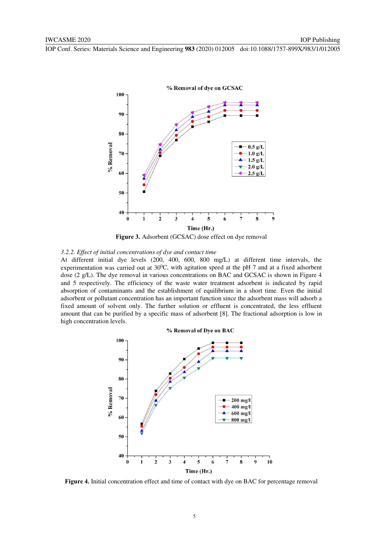

**Figure 3.** Adsorbent (GCSAC) dose effect on dye removal

## *3.2.2. Effect of initial concentrations of dye and contact time*

At different initial dye levels (200, 400, 600, 800 mg/L) at different time intervals, the experimentation was carried out at  $30^{\circ}$ C, with agitation speed at the pH 7 and at a fixed adsorbent dose (2 g/L). The dye removal in various concentrations on BAC and GCSAC is shown in Figure 4 and 5 respectively. The efficiency of the waste water treatment adsorbent is indicated by rapid absorption of contaminants and the establishment of equilibrium in a short time. Even the initial adsorbent or pollutant concentration has an important function since the adsorbent mass will adsorb a fixed amount of solvent only. The further solution or effluent is concentrated, the less effluent amount that can be purified by a specific mass of adsorbent [8]. The fractional adsorption is low in high concentration levels.



**Figure 4.** Initial concentration effect and time of contact with dye on BAC for percentage removal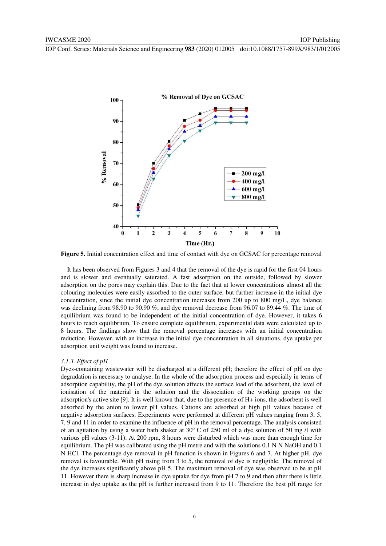

**Figure 5.** Initial concentration effect and time of contact with dye on GCSAC for percentage removal

 It has been observed from Figures 3 and 4 that the removal of the dye is rapid for the first 04 hours and is slower and eventually saturated. A fast adsorption on the outside, followed by slower adsorption on the pores may explain this. Due to the fact that at lower concentrations almost all the colouring molecules were easily assorbed to the outer surface, but further increase in the initial dye concentration, since the initial dye concentration increases from 200 up to 800 mg/L, dye balance was declining from 98.90 to 90.90 %, and dye removal decrease from 96.07 to 89.44 %. The time of equilibrium was found to be independent of the initial concentration of dye. However, it takes 6 hours to reach equilibrium. To ensure complete equilibrium, experimental data were calculated up to 8 hours. The findings show that the removal percentage increases with an initial concentration reduction. However, with an increase in the initial dye concentration in all situations, dye uptake per adsorption unit weight was found to increase.

#### *3.1.3. Effect of pH*

Dyes-containing wastewater will be discharged at a different pH; therefore the effect of pH on dye degradation is necessary to analyse. In the whole of the adsorption process and especially in terms of adsorption capability, the pH of the dye solution affects the surface load of the adsorbent, the level of ionisation of the material in the solution and the dissociation of the working groups on the adsorption's active site [9]. It is well known that, due to the presence of H+ ions, the adsorbent is well adsorbed by the anion to lower pH values. Cations are adsorbed at high pH values because of negative adsorption surfaces. Experiments were performed at different pH values ranging from 3, 5, 7, 9 and 11 in order to examine the influence of pH in the removal percentage. The analysis consisted of an agitation by using a water bath shaker at  $30^{\circ}$  C of 250 ml of a dye solution of 50 mg /l with various pH values (3-11). At 200 rpm, 8 hours were disturbed which was more than enough time for equilibrium. The pH was calibrated using the pH metre and with the solutions 0.1 N N NaOH and 0.1 N HCl. The percentage dye removal in pH function is shown in Figures 6 and 7. At higher pH, dye removal is favourable. With pH rising from 3 to 5, the removal of dye is negligible. The removal of the dye increases significantly above pH 5. The maximum removal of dye was observed to be at pH 11. However there is sharp increase in dye uptake for dye from pH 7 to 9 and then after there is little increase in dye uptake as the pH is further increased from 9 to 11. Therefore the best pH range for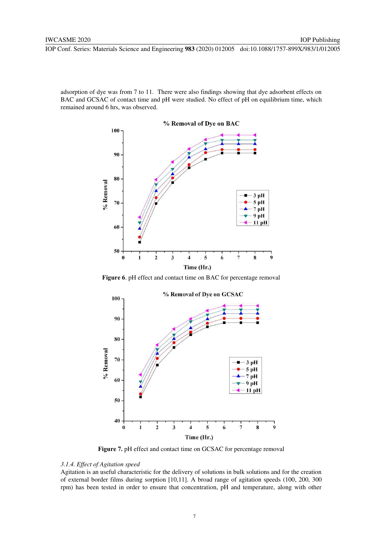adsorption of dye was from 7 to 11. There were also findings showing that dye adsorbent effects on BAC and GCSAC of contact time and pH were studied. No effect of pH on equilibrium time, which remained around 6 hrs, was observed.



**Figure 6**. pH effect and contact time on BAC for percentage removal



**Figure 7.** pH effect and contact time on GCSAC for percentage removal

# *3.1.4. Effect of Agitation speed*

Agitation is an useful characteristic for the delivery of solutions in bulk solutions and for the creation of external border films during sorption [10,11]. A broad range of agitation speeds (100, 200, 300 rpm) has been tested in order to ensure that concentration, pH and temperature, along with other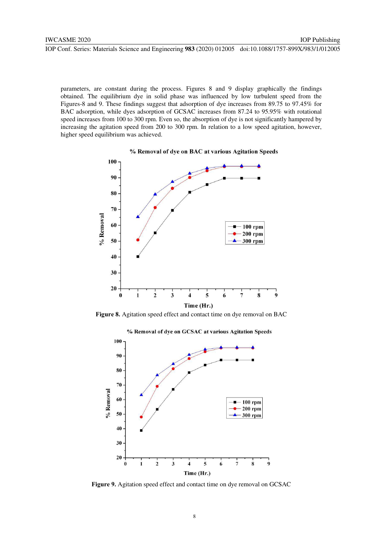parameters, are constant during the process. Figures 8 and 9 display graphically the findings obtained. The equilibrium dye in solid phase was influenced by low turbulent speed from the Figures-8 and 9. These findings suggest that adsorption of dye increases from 89.75 to 97.45% for BAC adsorption, while dyes adsorption of GCSAC increases from 87.24 to 95.95% with rotational speed increases from 100 to 300 rpm. Even so, the absorption of dye is not significantly hampered by increasing the agitation speed from 200 to 300 rpm. In relation to a low speed agitation, however, higher speed equilibrium was achieved.



% Removal of dye on BAC at various Agitation Speeds

**Figure 8.** Agitation speed effect and contact time on dye removal on BAC



**Figure 9.** Agitation speed effect and contact time on dye removal on GCSAC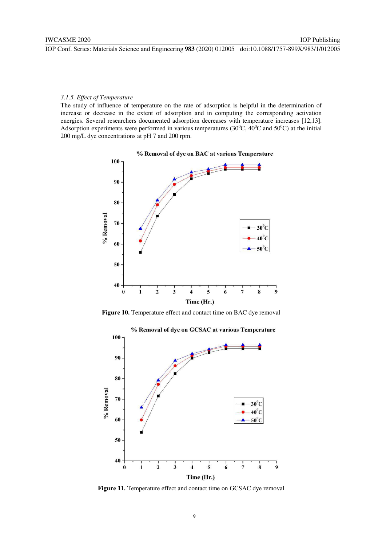# *3.1.5. Effect of Temperature*

The study of influence of temperature on the rate of adsorption is helpful in the determination of increase or decrease in the extent of adsorption and in computing the corresponding activation energies. Several researchers documented adsorption decreases with temperature increases [12,13]. Adsorption experiments were performed in various temperatures (30 $^{\circ}$ C, 40 $^{\circ}$ C and 50 $^{\circ}$ C) at the initial 200 mg/L dye concentrations at pH 7 and 200 rpm.



Figure 10. Temperature effect and contact time on BAC dye removal



Figure 11. Temperature effect and contact time on GCSAC dye removal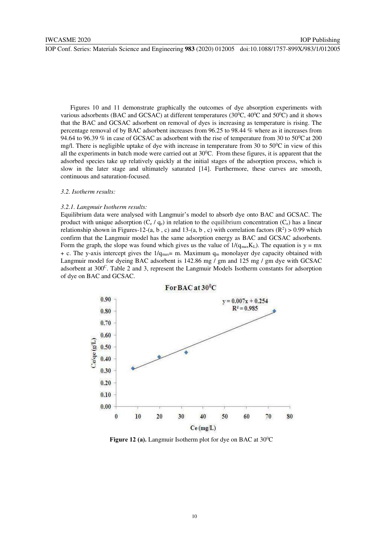Figures 10 and 11 demonstrate graphically the outcomes of dye absorption experiments with various adsorbents (BAC and GCSAC) at different temperatures (30 $^{\circ}$ C, 40 $^{\circ}$ C and 50 $^{\circ}$ C) and it shows that the BAC and GCSAC adsorbent on removal of dyes is increasing as temperature is rising. The percentage removal of by BAC adsorbent increases from 96.25 to 98.44 % where as it increases from 94.64 to 96.39 % in case of GCSAC as adsorbent with the rise of temperature from 30 to  $50^{\circ}$ C at 200 mg/l. There is negligible uptake of dye with increase in temperature from 30 to  $50^{\circ}$ C in view of this all the experiments in batch mode were carried out at  $30^{\circ}$ C. From these figures, it is apparent that the adsorbed species take up relatively quickly at the initial stages of the adsorption process, which is slow in the later stage and ultimately saturated [14]. Furthermore, these curves are smooth, continuous and saturation-focused.

## *3.2. Isotherm results:*

#### *3.2.1. Langmuir Isotherm results:*

Equilibrium data were analysed with Langmuir's model to absorb dye onto BAC and GCSAC. The product with unique adsorption  $(C_e / q_e)$  in relation to the equilibrium concentration  $(C_e)$  has a linear relationship shown in Figures-12-(a, b, c) and 13-(a, b, c) with correlation factors  $(\mathbb{R}^2) > 0.99$  which confirm that the Langmuir model has the same adsorption energy as BAC and GCSAC adsorbents. Form the graph, the slope was found which gives us the value of  $1/(q_{max}K_L)$ . The equation is y = mx + c. The y-axis intercept gives the  $1/q_{\text{max}}=$  m. Maximum  $q_m$  monolayer dye capacity obtained with Langmuir model for dyeing BAC adsorbent is 142.86 mg / gm and 125 mg / gm dye with GCSAC adsorbent at 300<sup>C</sup>. Table 2 and 3, represent the Langmuir Models Isotherm constants for adsorption of dye on BAC and GCSAC.



**Figure 12 (a).** Langmuir Isotherm plot for dye on BAC at 30<sup>°</sup>C

#### 10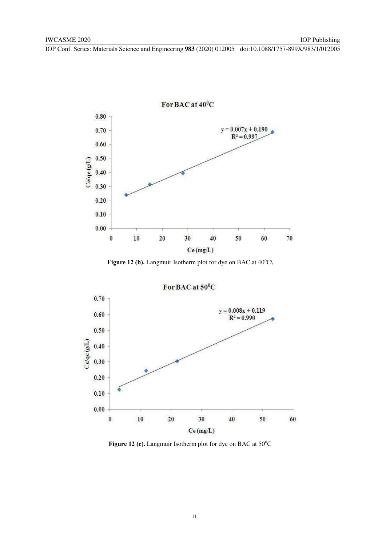

Figure 12 (b). Langmuir Isotherm plot for dye on BAC at 40<sup>o</sup>C\



**Figure 12 (c).** Langmuir Isotherm plot for dye on BAC at 50<sup>o</sup>C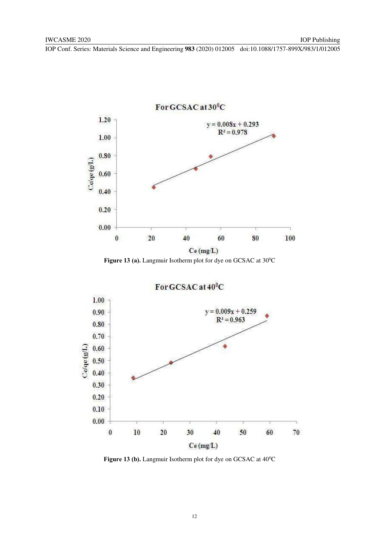

Figure 13 (a). Langmuir Isotherm plot for dye on GCSAC at 30<sup>°</sup>C



Figure 13 (b). Langmuir Isotherm plot for dye on GCSAC at  $40^{\circ}$ C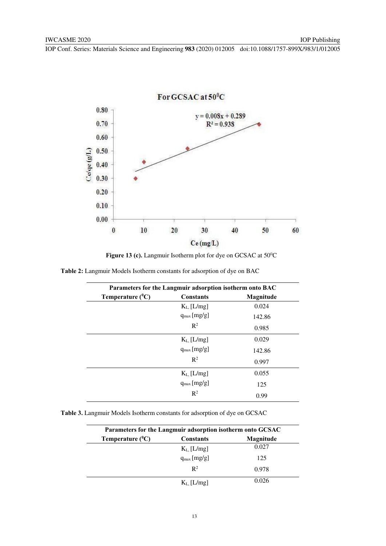

Figure 13 (c). Langmuir Isotherm plot for dye on GCSAC at 50<sup>°</sup>C

| Table 2: Langmuir Models Isotherm constants for adsorption of dye on BAC |  |  |  |
|--------------------------------------------------------------------------|--|--|--|
|--------------------------------------------------------------------------|--|--|--|

| Parameters for the Langmuir adsorption isotherm onto BAC |                    |           |  |
|----------------------------------------------------------|--------------------|-----------|--|
| Temperature $(^0C)$                                      | <b>Constants</b>   | Magnitude |  |
|                                                          | $K_{L}$ [ $L/mg$ ] | 0.024     |  |
|                                                          | $q_{max}$ [mg/g]   | 142.86    |  |
|                                                          | $\mathbb{R}^2$     | 0.985     |  |
|                                                          | $K_L$ [ $L/mg$ ]   | 0.029     |  |
|                                                          | $q_{max}$ [mg/g]   | 142.86    |  |
|                                                          | $\mathbb{R}^2$     | 0.997     |  |
|                                                          | $K_L$ [ $L/mg$ ]   | 0.055     |  |
|                                                          | $q_{max}$ [mg/g]   | 125       |  |
|                                                          | $R^2$              | 0.99      |  |

**Table 3.** Langmuir Models Isotherm constants for adsorption of dye on GCSAC

| Parameters for the Langmuir adsorption isotherm onto GCSAC |                  |           |
|------------------------------------------------------------|------------------|-----------|
| Temperature $(^{0}C)$                                      | <b>Constants</b> | Magnitude |
|                                                            | $K_L$ [ $L/mg$ ] | 0.027     |
|                                                            | $q_{max}$ [mg/g] | 125       |
|                                                            | $\mathbb{R}^2$   | 0.978     |
|                                                            | $K_L$ [ $L/mg$ ] | 0.026     |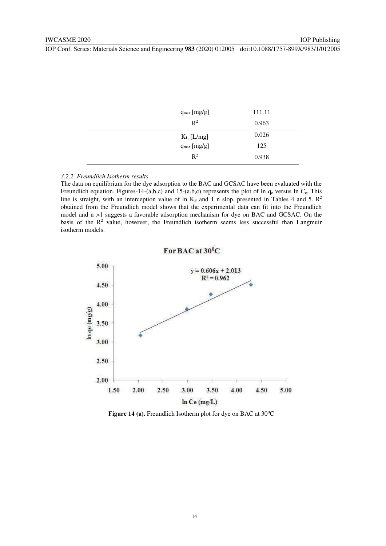| $q_{max}$ [mg/g] | 111.11 |
|------------------|--------|
| $\mathbb{R}^2$   | 0.963  |
| $K_{L}$ [L/mg]   | 0.026  |
| $q_{max}$ [mg/g] | 125    |
| $\mathbb{R}^2$   | 0.938  |

#### *3.2.2. Freundlich Isotherm results*

The data on equilibrium for the dye adsorption to the BAC and GCSAC have been evaluated with the Freundlich equation. Figures-14-(a,b,c) and 15-(a,b,c) represents the plot of ln  $q_e$  versus ln  $C_e$ , This line is straight, with an interception value of ln  $K_F$  and 1 n slop, presented in Tables 4 and 5.  $\mathbb{R}^2$ obtained from the Freundlich model shows that the experimental data can fit into the Freundlich model and n >1 suggests a favorable adsorption mechanism for dye on BAC and GCSAC. On the basis of the  $\mathbb{R}^2$  value, however, the Freundlich isotherm seems less successful than Langmuir isotherm models.



Figure 14 (a). Freundlich Isotherm plot for dye on BAC at 30<sup>o</sup>C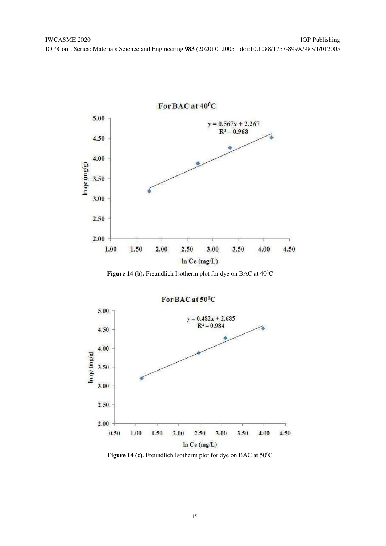

Figure 14 (b). Freundlich Isotherm plot for dye on BAC at 40<sup>o</sup>C



Figure 14 (c). Freundlich Isotherm plot for dye on BAC at 50<sup>°</sup>C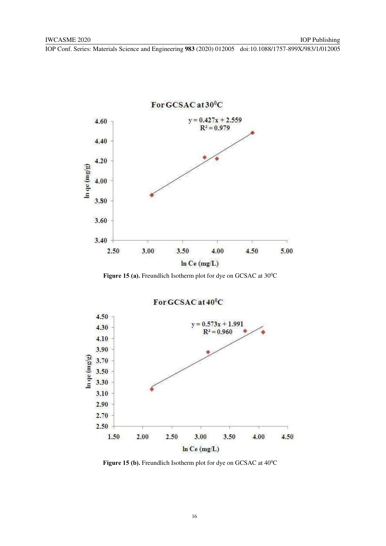

Figure 15 (a). Freundlich Isotherm plot for dye on GCSAC at 30<sup>o</sup>C



Figure 15 (b). Freundlich Isotherm plot for dye on GCSAC at 40<sup>0</sup>C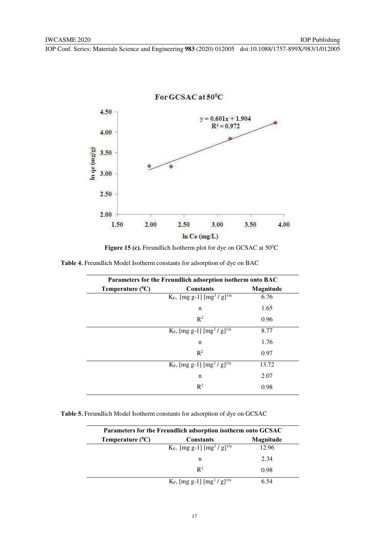

Figure 15 (c). Freundlich Isotherm plot for dye on GCSAC at 50<sup>o</sup>C

**Table 4.** Freundlich Model Isotherm constants for adsorption of dye on BAC

| Parameters for the Freundlich adsorption isotherm onto BAC |                                                       |           |
|------------------------------------------------------------|-------------------------------------------------------|-----------|
| Temperature $(^0C)$                                        | <b>Constants</b>                                      | Magnitude |
|                                                            | $K_F$ , [mg g-1] [mg <sup>3</sup> / g] <sup>1/n</sup> | 6.76      |
|                                                            | n                                                     | 1.65      |
|                                                            | $\mathbb{R}^2$                                        | 0.96      |
|                                                            | $K_F$ , [mg g-1] [mg <sup>3</sup> / g] <sup>1/n</sup> | 8.77      |
|                                                            | n                                                     | 1.76      |
|                                                            | $\mathbb{R}^2$                                        | 0.97      |
|                                                            | $K_F$ , [mg g-1] [mg <sup>3</sup> / g] <sup>1/n</sup> | 13.72     |
|                                                            | n                                                     | 2.07      |
|                                                            | $\mathbb{R}^2$                                        | 0.98      |

**Table 5.** Freundlich Model Isotherm constants for adsorption of dye on GCSAC

| Parameters for the Freundlich adsorption isotherm onto GCSAC |                                                       |           |
|--------------------------------------------------------------|-------------------------------------------------------|-----------|
| Temperature $(^0C)$                                          | <b>Constants</b>                                      | Magnitude |
|                                                              | $K_F$ , [mg g-1] [mg <sup>3</sup> / g] <sup>1/n</sup> | 12.96     |
|                                                              | n                                                     | 2.34      |
|                                                              | $\mathbb{R}^2$                                        | 0.98      |
|                                                              | $K_F$ , [mg g-1] [mg <sup>3</sup> / g] <sup>1/n</sup> | 6.54      |